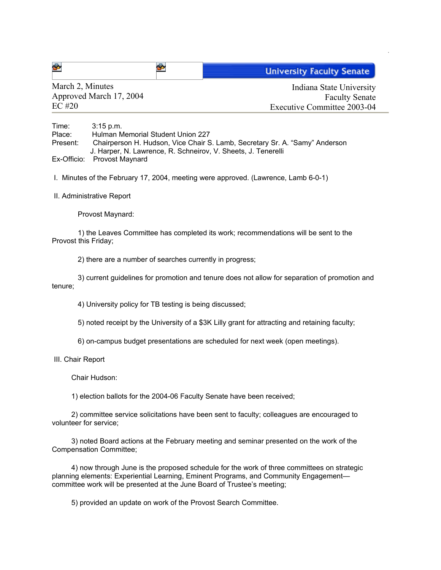| 睿 | <b>University Faculty Senate</b> |
|---|----------------------------------|
|---|----------------------------------|

March 2, Minutes Approved March 17, 2004 EC #20

Indiana State University Faculty Senate Executive Committee 2003-04

Time: 3:15 p.m. Place: Hulman Memorial Student Union 227 Present: Chairperson H. Hudson, Vice Chair S. Lamb, Secretary Sr. A. "Samy" Anderson J. Harper, N. Lawrence, R. Schneirov, V. Sheets, J. Tenerelli Ex-Officio: Provost Maynard

I. Minutes of the February 17, 2004, meeting were approved. (Lawrence, Lamb 6-0-1)

II. Administrative Report

Provost Maynard:

1) the Leaves Committee has completed its work; recommendations will be sent to the Provost this Friday;

2) there are a number of searches currently in progress;

3) current guidelines for promotion and tenure does not allow for separation of promotion and tenure;

4) University policy for TB testing is being discussed;

5) noted receipt by the University of a \$3K Lilly grant for attracting and retaining faculty;

6) on-campus budget presentations are scheduled for next week (open meetings).

III. Chair Report

Chair Hudson:

1) election ballots for the 2004-06 Faculty Senate have been received;

2) committee service solicitations have been sent to faculty; colleagues are encouraged to volunteer for service;

3) noted Board actions at the February meeting and seminar presented on the work of the Compensation Committee;

4) now through June is the proposed schedule for the work of three committees on strategic planning elements: Experiential Learning, Eminent Programs, and Community Engagement committee work will be presented at the June Board of Trustee's meeting;

5) provided an update on work of the Provost Search Committee.